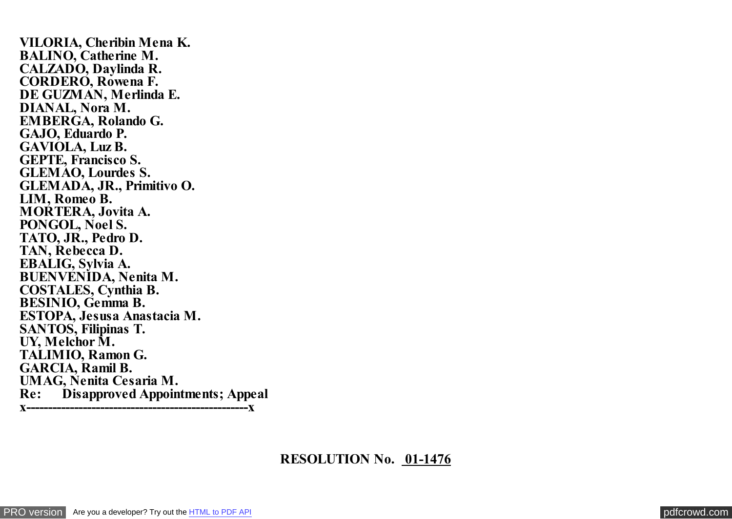**VILORIA, Cheribin Mena K. BALINO, Catherine M. CALZADO, Daylinda R. CORDERO, Rowena F. DE GUZMAN, Merlinda E. DIANAL, Nora M. EMBERGA, Rolando G. GAJO, Eduardo P. GAVIOLA, Luz B. GEPTE, Francisco S. GLEMAO, Lourdes S. GLEMADA, JR., Primitivo O. LIM, Romeo B. MORTERA, Jovita A. PONGOL, Noel S. TATO, JR., Pedro D. TAN, Rebecca D. EBALIG, Sylvia A. BUENVENIDA, Nenita M. COSTALES, Cynthia B. BESINIO, Gemma B. ESTOPA, Jesusa Anastacia M. SANTOS, Filipinas T. UY, Melchor M. TALIMIO, Ramon G. GARCIA, Ramil B. UMAG, Nenita Cesaria M. Re: Disapproved Appointments; Appeal x---------------------------------------------------x**

## **RESOLUTION No. 01-1476**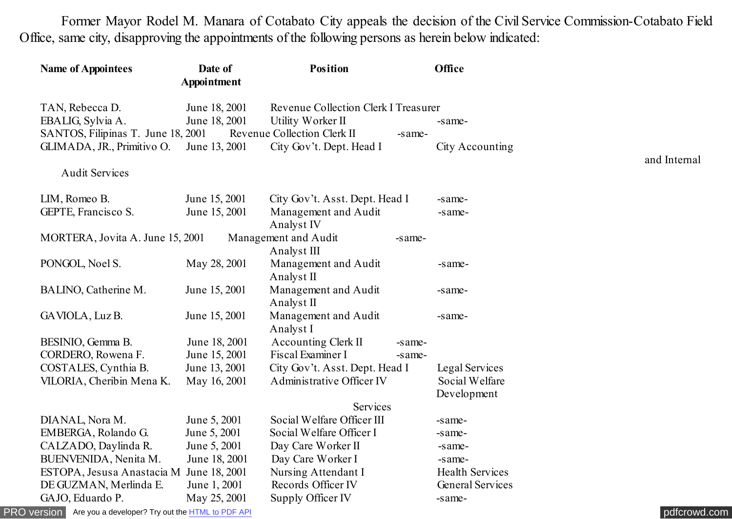Former Mayor Rodel M. Manara of Cotabato City appeals the decision of the Civil Service Commission-Cotabato Field Office, same city, disapproving the appointments of the following persons as herein below indicated:

| <b>Name of Appointees</b>                                                   | Date of       | <b>Position</b>                               |        | <b>Office</b>           |              |  |
|-----------------------------------------------------------------------------|---------------|-----------------------------------------------|--------|-------------------------|--------------|--|
|                                                                             | Appointment   |                                               |        |                         |              |  |
| TAN, Rebecca D.                                                             | June 18, 2001 | <b>Revenue Collection Clerk I Treasurer</b>   |        |                         |              |  |
| EBALIG, Sylvia A.                                                           | June 18, 2001 | Utility Worker II                             |        | -same-                  |              |  |
| SANTOS, Filipinas T. June 18, 2001<br>Revenue Collection Clerk II<br>-same- |               |                                               |        |                         |              |  |
| GLIMADA, JR., Primitivo O.                                                  | June 13, 2001 | City Gov't. Dept. Head I                      |        | City Accounting         |              |  |
| <b>Audit Services</b>                                                       |               |                                               |        |                         | and Internal |  |
|                                                                             |               |                                               |        |                         |              |  |
| LIM, Romeo B.                                                               | June 15, 2001 | City Gov't. Asst. Dept. Head I                |        | -same-                  |              |  |
| GEPTE, Francisco S.                                                         | June 15, 2001 | Management and Audit<br>Analyst <sub>IV</sub> |        | -same-                  |              |  |
| MORTERA, Jovita A. June 15, 2001                                            |               | Management and Audit                          | -same- |                         |              |  |
|                                                                             |               | Analyst III                                   |        |                         |              |  |
| PONGOL, Noel S.                                                             | May 28, 2001  | Management and Audit<br>Analyst II            |        | -same-                  |              |  |
| BALINO, Catherine M.                                                        | June 15, 2001 | Management and Audit                          |        | -same-                  |              |  |
|                                                                             |               | Analyst II                                    |        |                         |              |  |
| GAVIOLA, Luz B.                                                             | June 15, 2001 | Management and Audit                          |        | -same-                  |              |  |
|                                                                             |               | Analyst I                                     |        |                         |              |  |
| BESINIO, Gemma B.                                                           | June 18, 2001 | <b>Accounting Clerk II</b>                    | -same- |                         |              |  |
| CORDERO, Rowena F.                                                          | June 15, 2001 | Fiscal Examiner I                             | -same- |                         |              |  |
| COSTALES, Cynthia B.                                                        | June 13, 2001 | City Gov't. Asst. Dept. Head I                |        | Legal Services          |              |  |
| VILORIA, Cheribin Mena K.                                                   | May 16, 2001  | Administrative Officer IV                     |        | Social Welfare          |              |  |
|                                                                             |               |                                               |        | Development             |              |  |
| Services                                                                    |               |                                               |        |                         |              |  |
| DIANAL, Nora M.                                                             | June 5, 2001  | Social Welfare Officer III                    |        | -same-                  |              |  |
| EMBERGA, Rolando G.                                                         | June 5, 2001  | Social Welfare Officer I                      |        | -same-                  |              |  |
| CALZADO, Daylinda R.                                                        | June 5, 2001  | Day Care Worker II                            |        | -same-                  |              |  |
| BUENVENIDA, Nenita M.                                                       | June 18, 2001 | Day Care Worker I                             |        | -same-                  |              |  |
| ESTOPA, Jesusa Anastacia M June 18, 2001                                    |               | Nursing Attendant I                           |        | <b>Health Services</b>  |              |  |
| DE GUZMAN, Merlinda E.                                                      | June 1, 2001  | Records Officer IV                            |        | <b>General Services</b> |              |  |
| GAJO, Eduardo P.                                                            | May 25, 2001  | Supply Officer IV                             |        | -same-                  |              |  |

[PRO version](http://pdfcrowd.com/customize/) Are you a developer? Try out th[e HTML to PDF API](http://pdfcrowd.com/html-to-pdf-api/?ref=pdf) contract the CHTML of PDF API [pdfcrowd.com](http://pdfcrowd.com)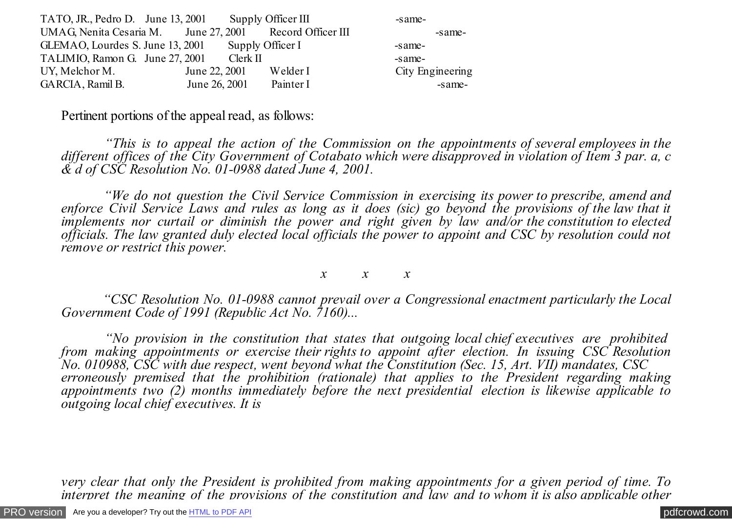| TATO, JR., Pedro D. June 13, 2001                        |               | Supply Officer III | -same-           |
|----------------------------------------------------------|---------------|--------------------|------------------|
| UMAG, Nenita Cesaria M. June 27, 2001 Record Officer III |               |                    | -same-           |
| GLEMAO, Lourdes S. June 13, 2001                         |               | Supply Officer I   | -same-           |
| TALIMIO, Ramon G. June 27, 2001                          |               | Clerk II           | -same-           |
| UY, Melchor M.                                           | June 22, 2001 | Welder I           | City Engineering |
| GARCIA, Ramil B.                                         | June 26, 2001 | Painter I          | -same-           |

Pertinent portions of the appeal read, as follows:

 *"This is to appeal the action of the Commission on the appointments of several employees in the different offices of the City Government of Cotabato which were disapproved in violation of Item 3 par. a, c & d of CSC Resolution No. 01-0988 dated June 4, 2001.*

 *"We do not question the Civil Service Commission in exercising its power to prescribe, amend and enforce Civil Service Laws and rules as long as it does (sic) go beyond the provisions of the law that it implements nor curtail or diminish the power and right given by law and/or the constitution to elected officials. The law granted duly elected local officials the power to appoint and CSC by resolution could not remove or restrict this power.*

*x x x*

 *"CSC Resolution No. 01-0988 cannot prevail over a Congressional enactment particularly the Local Government Code of 1991 (Republic Act No. 7160)...*

 *"No provision in the constitution that states that outgoing local chief executives are prohibited from making appointments or exercise their rights to appoint after election. In issuing CSC Resolution No. 010988, CSC with due respect, went beyond what the Constitution (Sec. 15, Art. VII) mandates, CSC erroneously premised that the prohibition (rationale) that applies to the President regarding making appointments two (2) months immediately before the next presidential election is likewise applicable to outgoing local chief executives. It is*

*very clear that only the President is prohibited from making appointments for a given period of time. To interpret the meaning of the provisions of the constitution and law and to whom it is also applicable other*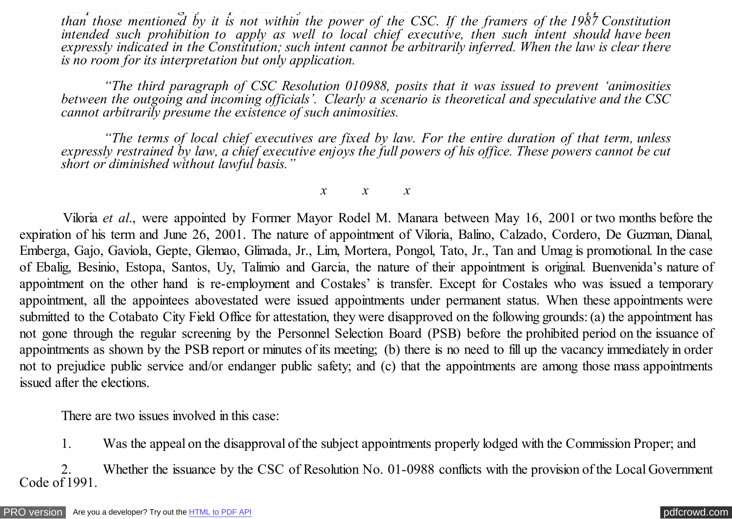*interpret the meaning of the provisions of the constitution and law and to whom it is also applicable other than those mentioned by it is not within the power of the CSC. If the framers of the 1987 Constitution intended such prohibition to apply as well to local chief executive, then such intent should have been expressly indicated in the Constitution; such intent cannot be arbitrarily inferred. When the law is clear there is no room for its interpretation but only application.*

 *"The third paragraph of CSC Resolution 010988, posits that it was issued to prevent 'animosities between the outgoing and incoming officials'. Clearly a scenario is theoretical and speculative and the CSC cannot arbitrarily presume the existence of such animosities.*

 *"The terms of local chief executives are fixed by law. For the entire duration of that term, unless expressly restrained by law, a chief executive enjoys the full powers of his office. These powers cannot be cut short or diminished without lawful basis."*

*x x x*

 Viloria *et al*., were appointed by Former Mayor Rodel M. Manara between May 16, 2001 or two months before the expiration of his term and June 26, 2001. The nature of appointment of Viloria, Balino, Calzado, Cordero, De Guzman, Dianal, Emberga, Gajo, Gaviola, Gepte, Glemao, Glimada, Jr., Lim, Mortera, Pongol, Tato, Jr., Tan and Umag is promotional. In the case of Ebalig, Besinio, Estopa, Santos, Uy, Talimio and Garcia, the nature of their appointment is original. Buenvenida's nature of appointment on the other hand is re-employment and Costales' is transfer. Except for Costales who was issued a temporary appointment, all the appointees abovestated were issued appointments under permanent status. When these appointments were submitted to the Cotabato City Field Office for attestation, they were disapproved on the following grounds: (a) the appointment has not gone through the regular screening by the Personnel Selection Board (PSB) before the prohibited period on the issuance of appointments as shown by the PSB report or minutes of its meeting; (b) there is no need to fill up the vacancy immediately in order not to prejudice public service and/or endanger public safety; and (c) that the appointments are among those mass appointments issued after the elections.

There are two issues involved in this case:

1. Was the appeal on the disapproval of the subject appointments properly lodged with the Commission Proper; and

 2. Whether the issuance by the CSC of Resolution No. 01-0988 conflicts with the provision of the Local Government Code of 1991.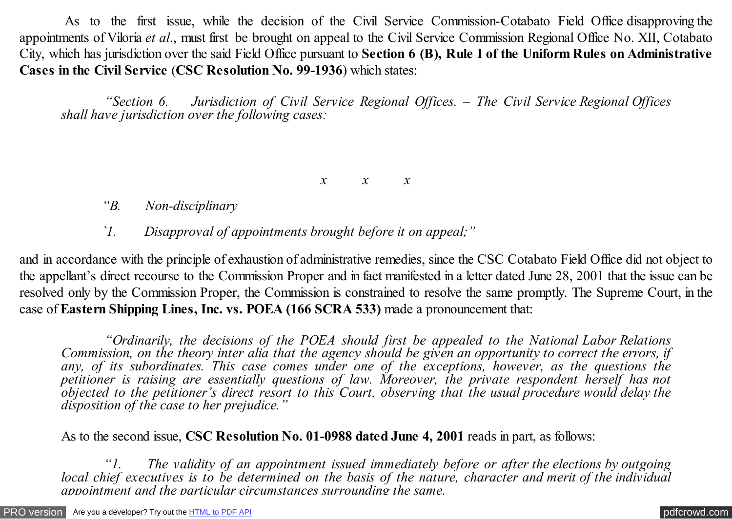As to the first issue, while the decision of the Civil Service Commission-Cotabato Field Office disapproving the appointments of Viloria *et al*., must first be brought on appeal to the Civil Service Commission Regional Office No. XII, Cotabato City, which has jurisdiction over the said Field Office pursuant to **Section 6 (B), Rule I of the Uniform Rules on Administrative Cases in the Civil Service** (**CSC Resolution No. 99-1936**) which states:

 *"Section 6. Jurisdiction of Civil Service Regional Offices. – The Civil Service Regional Offices shall have jurisdiction over the following cases:*

*x x x*

- *"B. Non-disciplinary*
- *`1. Disapproval of appointments brought before it on appeal;"*

and in accordance with the principle of exhaustion of administrative remedies, since the CSC Cotabato Field Office did not object to the appellant's direct recourse to the Commission Proper and in fact manifested in a letter dated June 28, 2001 that the issue can be resolved only by the Commission Proper, the Commission is constrained to resolve the same promptly. The Supreme Court, in the case of**Eastern Shipping Lines, Inc. vs. POEA (166 SCRA 533)** made a pronouncement that:

 *"Ordinarily, the decisions of the POEA should first be appealed to the National Labor Relations Commission, on the theory inter alia that the agency should be given an opportunity to correct the errors, if* any, of its subordinates. This case comes under one of the exceptions, however, as the questions the *petitioner is raising are essentially questions of law. Moreover, the private respondent herself has not objected to the petitioner's direct resort to this Court, observing that the usual procedure would delay the disposition of the case to her prejudice."*

As to the second issue, **CSC Resolution No. 01-0988 dated June 4, 2001** reads in part, as follows:

 *"1. The validity of an appointment issued immediately before or after the elections by outgoing local chief executives is to be determined on the basis of the nature, character and merit of the individual appointment and the particular circumstances surrounding the same.*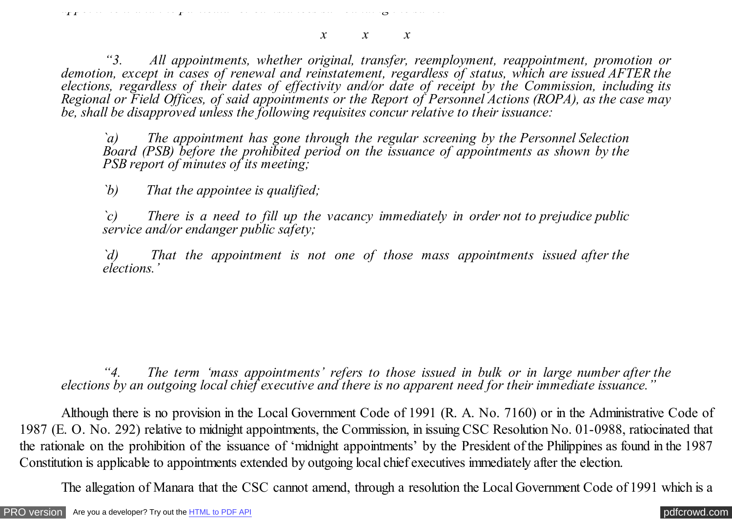*appointment and the particular circumstances surrounding the same.*

*x x x*

 *"3. All appointments, whether original, transfer, reemployment, reappointment, promotion or demotion, except in cases of renewal and reinstatement, regardless of status, which are issued AFTER the elections, regardless of their dates of effectivity and/or date of receipt by the Commission, including its Regional or Field Offices, of said appointments or the Report of Personnel Actions (ROPA), as the case may be, shall be disapproved unless the following requisites concur relative to their issuance:*

*`a) The appointment has gone through the regular screening by the Personnel Selection Board (PSB) before the prohibited period on the issuance of appointments as shown by the PSB report of minutes of its meeting;*

*`b) That the appointee is qualified;*

*`c) There is a need to fill up the vacancy immediately in order not to prejudice public service and/or endanger public safety;*

*`d) That the appointment is not one of those mass appointments issued after the elections.'*

*"4. The term 'mass appointments' refers to those issued in bulk or in large number after the elections by an outgoing local chief executive and there is no apparent need for their immediate issuance."*

 Although there is no provision in the Local Government Code of 1991 (R. A. No. 7160) or in the Administrative Code of 1987 (E. O. No. 292) relative to midnight appointments, the Commission, in issuing CSC Resolution No. 01-0988, ratiocinated that the rationale on the prohibition of the issuance of 'midnight appointments' by the President of the Philippines as found in the 1987 Constitution is applicable to appointments extended by outgoing local chief executives immediately after the election.

The allegation of Manara that the CSC cannot amend, through a resolution the Local Government Code of 1991 which is a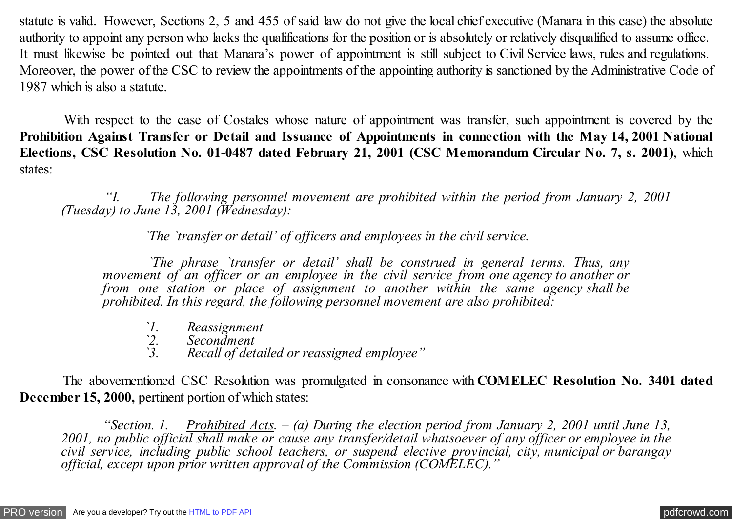statute is valid. However, Sections 2, 5 and 455 of said law do not give the local chief executive (Manara in this case) the absolute authority to appoint any person who lacks the qualifications for the position or is absolutely or relatively disqualified to assume office. It must likewise be pointed out that Manara's power of appointment is still subject to Civil Service laws, rules and regulations. Moreover, the power of the CSC to review the appointments of the appointing authority is sanctioned by the Administrative Code of 1987 which is also a statute.

With respect to the case of Costales whose nature of appointment was transfer, such appointment is covered by the **Prohibition Against Transfer or Detail and Issuance of Appointments in connection with the May 14, 2001 National Elections, CSC Resolution No. 01-0487 dated February 21, 2001 (CSC Memorandum Circular No. 7, s. 2001)**, which states:

 *"I. The following personnel movement are prohibited within the period from January 2, 2001 (Tuesday) to June 13, 2001 (Wednesday):*

 *`The `transfer or detail' of officers and employees in the civil service.*

 *`The phrase `transfer or detail' shall be construed in general terms. Thus, any movement of an officer or an employee in the civil service from one agency to another or from one station or place of assignment to another within the same agency shall be prohibited. In this regard, the following personnel movement are also prohibited:*

- *`1. Reassignment*
- *`2. Secondment*
- *`3. Recall of detailed or reassigned employee"*

 The abovementioned CSC Resolution was promulgated in consonance with **COMELEC Resolution No. 3401 dated December 15, 2000,** pertinent portion of which states:

 *"Section. 1. Prohibited Acts. – (a) During the election period from January 2, 2001 until June 13, 2001, no public official shall make or cause any transfer/detail whatsoever of any officer or employee in the civil service, including public school teachers, or suspend elective provincial, city, municipal or barangay official, except upon prior written approval of the Commission (COMELEC)."*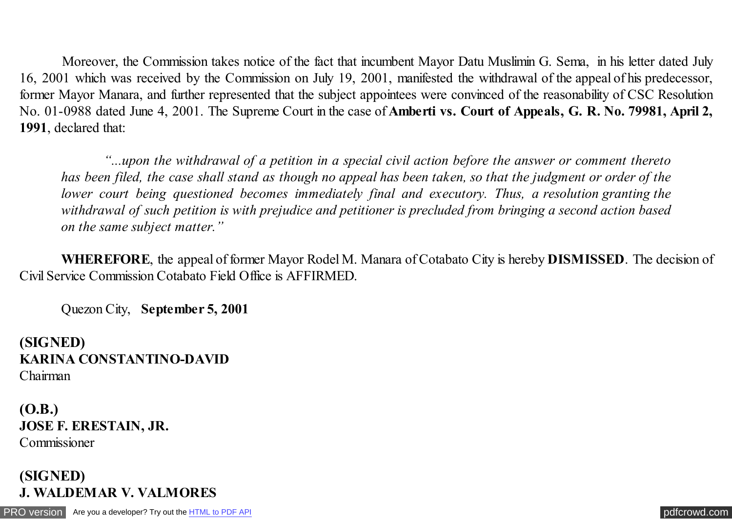Moreover, the Commission takes notice of the fact that incumbent Mayor Datu Muslimin G. Sema, in his letter dated July 16, 2001 which was received by the Commission on July 19, 2001, manifested the withdrawal of the appeal of his predecessor, former Mayor Manara, and further represented that the subject appointees were convinced of the reasonability of CSC Resolution No. 01-0988 dated June 4, 2001. The Supreme Court in the case of **Amberti vs. Court of Appeals, G. R. No. 79981, April 2, 1991**, declared that:

 *"...upon the withdrawal of a petition in a special civil action before the answer or comment thereto has been filed, the case shall stand as though no appeal has been taken, so that the judgment or order of the lower court being questioned becomes immediately final and executory. Thus, a resolution granting the withdrawal of such petition is with prejudice and petitioner is precluded from bringing a second action based on the same subject matter."*

 **WHEREFORE**, the appeal of former Mayor Rodel M. Manara of Cotabato City is hereby **DISMISSED**. The decision of Civil Service Commission Cotabato Field Office is AFFIRMED.

Quezon City, **September 5, 2001**

**(SIGNED) KARINA CONSTANTINO-DAVID** Chairman

**(O.B.) JOSE F. ERESTAIN, JR.** Commissioner

**(SIGNED) J. WALDEMAR V. VALMORES**

[PRO version](http://pdfcrowd.com/customize/) Are you a developer? Try out th[e HTML to PDF API](http://pdfcrowd.com/html-to-pdf-api/?ref=pdf) contract the CHTML of PDF API [pdfcrowd.com](http://pdfcrowd.com)